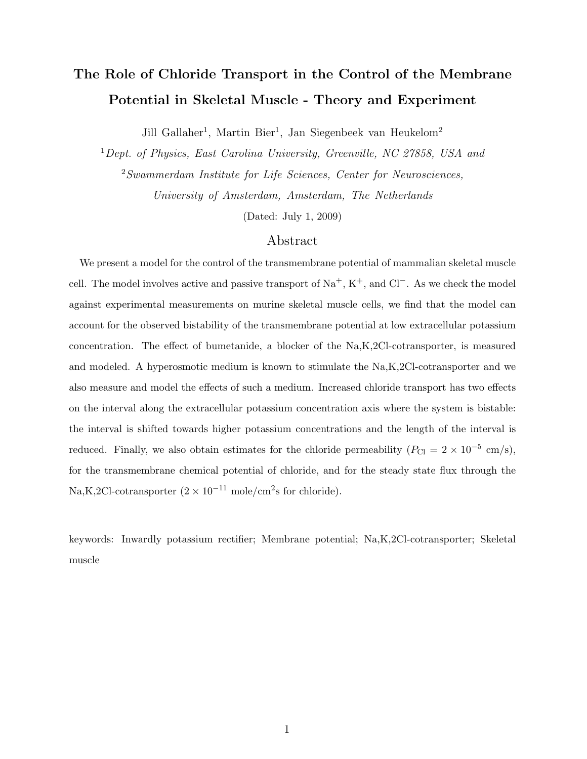# The Role of Chloride Transport in the Control of the Membrane Potential in Skeletal Muscle - Theory and Experiment

Jill Gallaher<sup>1</sup>, Martin Bier<sup>1</sup>, Jan Siegenbeek van Heukelom<sup>2</sup>

<sup>1</sup>Dept. of Physics, East Carolina University, Greenville, NC 27858, USA and <sup>2</sup>Swammerdam Institute for Life Sciences, Center for Neurosciences,

University of Amsterdam, Amsterdam, The Netherlands

(Dated: July 1, 2009)

## Abstract

We present a model for the control of the transmembrane potential of mammalian skeletal muscle cell. The model involves active and passive transport of  $Na^+$ ,  $K^+$ , and  $Cl^-$ . As we check the model against experimental measurements on murine skeletal muscle cells, we find that the model can account for the observed bistability of the transmembrane potential at low extracellular potassium concentration. The effect of bumetanide, a blocker of the Na,K,2Cl-cotransporter, is measured and modeled. A hyperosmotic medium is known to stimulate the Na,K,2Cl-cotransporter and we also measure and model the effects of such a medium. Increased chloride transport has two effects on the interval along the extracellular potassium concentration axis where the system is bistable: the interval is shifted towards higher potassium concentrations and the length of the interval is reduced. Finally, we also obtain estimates for the chloride permeability  $(P_{\text{Cl}} = 2 \times 10^{-5} \text{ cm/s})$ , for the transmembrane chemical potential of chloride, and for the steady state flux through the Na,K,2Cl-cotransporter  $(2 \times 10^{-11} \text{ mole/cm}^2 \text{s}$  for chloride).

keywords: Inwardly potassium rectifier; Membrane potential; Na,K,2Cl-cotransporter; Skeletal muscle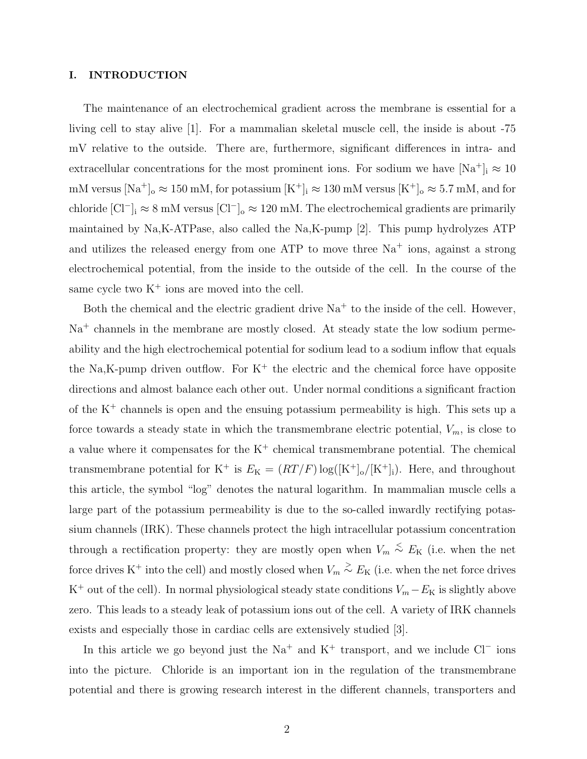#### I. INTRODUCTION

The maintenance of an electrochemical gradient across the membrane is essential for a living cell to stay alive [1]. For a mammalian skeletal muscle cell, the inside is about -75 mV relative to the outside. There are, furthermore, significant differences in intra- and extracellular concentrations for the most prominent ions. For sodium we have  $[Na^+]_i \approx 10$ mM versus  $[Na^+]$ <sub>o</sub>  $\approx 150$  mM, for potassium  $[K^+]_i \approx 130$  mM versus  $[K^+]_o \approx 5.7$  mM, and for chloride  $\text{[Cl}^-]_i \approx 8 \text{ mM}$  versus  $\text{[Cl}^-]_0 \approx 120 \text{ mM}$ . The electrochemical gradients are primarily maintained by Na,K-ATPase, also called the Na,K-pump [2]. This pump hydrolyzes ATP and utilizes the released energy from one ATP to move three  $Na<sup>+</sup>$  ions, against a strong electrochemical potential, from the inside to the outside of the cell. In the course of the same cycle two  $K^+$  ions are moved into the cell.

Both the chemical and the electric gradient drive  $Na<sup>+</sup>$  to the inside of the cell. However, Na<sup>+</sup> channels in the membrane are mostly closed. At steady state the low sodium permeability and the high electrochemical potential for sodium lead to a sodium inflow that equals the Na,K-pump driven outflow. For  $K^+$  the electric and the chemical force have opposite directions and almost balance each other out. Under normal conditions a significant fraction of the K<sup>+</sup> channels is open and the ensuing potassium permeability is high. This sets up a force towards a steady state in which the transmembrane electric potential,  $V_m$ , is close to a value where it compensates for the  $K^+$  chemical transmembrane potential. The chemical transmembrane potential for K<sup>+</sup> is  $E_K = (RT/F) \log([K^+]_0/[K^+]_i)$ . Here, and throughout this article, the symbol "log" denotes the natural logarithm. In mammalian muscle cells a large part of the potassium permeability is due to the so-called inwardly rectifying potassium channels (IRK). These channels protect the high intracellular potassium concentration through a rectification property: they are mostly open when  $V_m \stackrel{\leq}{\sim} E_K$  (i.e. when the net force drives K<sup>+</sup> into the cell) and mostly closed when  $V_m \stackrel{>}{\sim} E_K$  (i.e. when the net force drives K<sup>+</sup> out of the cell). In normal physiological steady state conditions  $V_m - E_K$  is slightly above zero. This leads to a steady leak of potassium ions out of the cell. A variety of IRK channels exists and especially those in cardiac cells are extensively studied [3].

In this article we go beyond just the  $Na^+$  and  $K^+$  transport, and we include  $Cl^-$  ions into the picture. Chloride is an important ion in the regulation of the transmembrane potential and there is growing research interest in the different channels, transporters and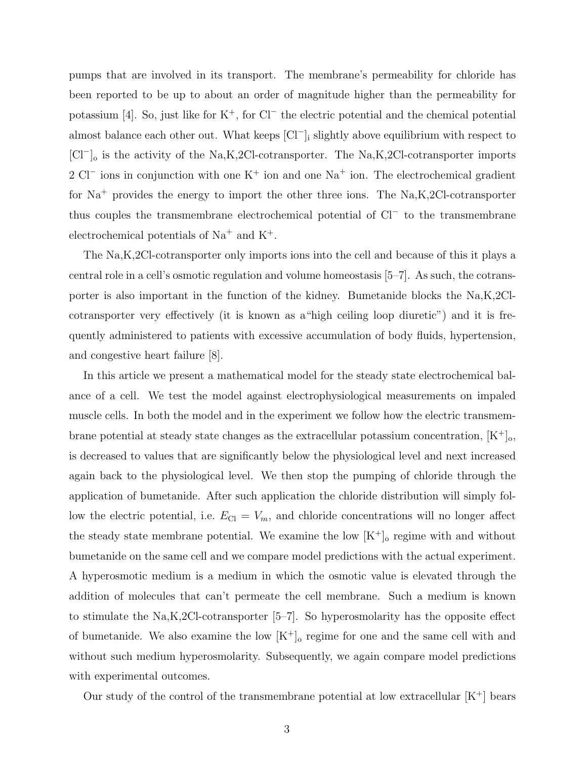pumps that are involved in its transport. The membrane's permeability for chloride has been reported to be up to about an order of magnitude higher than the permeability for potassium [4]. So, just like for K<sup>+</sup>, for Cl<sup>−</sup> the electric potential and the chemical potential almost balance each other out. What keeps [Cl<sup>−</sup> ]<sup>i</sup> slightly above equilibrium with respect to [Cl<sup>−</sup> ]<sup>o</sup> is the activity of the Na,K,2Cl-cotransporter. The Na,K,2Cl-cotransporter imports 2 Cl<sup>−</sup> ions in conjunction with one K<sup>+</sup> ion and one Na<sup>+</sup> ion. The electrochemical gradient for Na<sup>+</sup> provides the energy to import the other three ions. The Na,K,2Cl-cotransporter thus couples the transmembrane electrochemical potential of Cl<sup>−</sup> to the transmembrane electrochemical potentials of  $Na<sup>+</sup>$  and  $K<sup>+</sup>$ .

The Na,K,2Cl-cotransporter only imports ions into the cell and because of this it plays a central role in a cell's osmotic regulation and volume homeostasis [5–7]. As such, the cotransporter is also important in the function of the kidney. Bumetanide blocks the Na,K,2Clcotransporter very effectively (it is known as a"high ceiling loop diuretic") and it is frequently administered to patients with excessive accumulation of body fluids, hypertension, and congestive heart failure [8].

In this article we present a mathematical model for the steady state electrochemical balance of a cell. We test the model against electrophysiological measurements on impaled muscle cells. In both the model and in the experiment we follow how the electric transmembrane potential at steady state changes as the extracellular potassium concentration,  $[K^+]_0$ , is decreased to values that are significantly below the physiological level and next increased again back to the physiological level. We then stop the pumping of chloride through the application of bumetanide. After such application the chloride distribution will simply follow the electric potential, i.e.  $E_{\text{Cl}} = V_m$ , and chloride concentrations will no longer affect the steady state membrane potential. We examine the low  $[K^+]$ <sub>o</sub> regime with and without bumetanide on the same cell and we compare model predictions with the actual experiment. A hyperosmotic medium is a medium in which the osmotic value is elevated through the addition of molecules that can't permeate the cell membrane. Such a medium is known to stimulate the Na,K,2Cl-cotransporter [5–7]. So hyperosmolarity has the opposite effect of bumetanide. We also examine the low  $[K^+]_0$  regime for one and the same cell with and without such medium hyperosmolarity. Subsequently, we again compare model predictions with experimental outcomes.

Our study of the control of the transmembrane potential at low extracellular  $[K^+]$  bears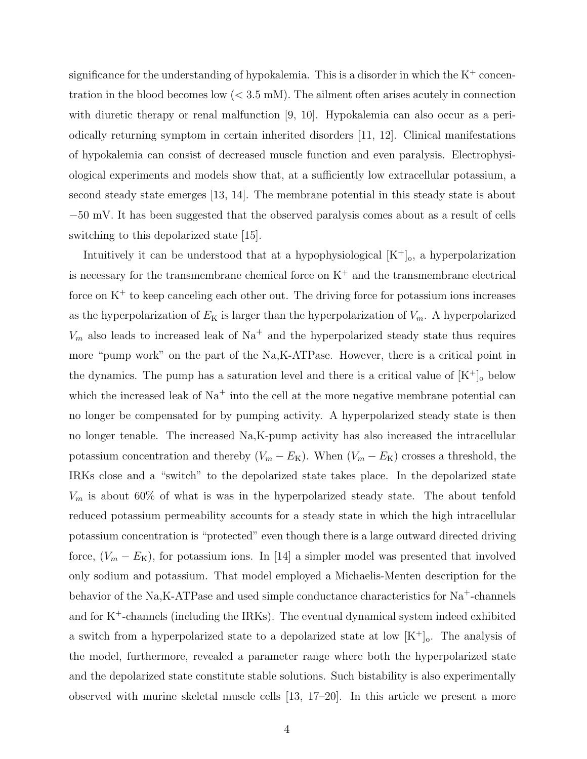significance for the understanding of hypokalemia. This is a disorder in which the  $K^+$  concentration in the blood becomes low  $( $3.5 \text{ mM}$ ). The alignment often arises acutely in connection$ with diuretic therapy or renal malfunction [9, 10]. Hypokalemia can also occur as a periodically returning symptom in certain inherited disorders [11, 12]. Clinical manifestations of hypokalemia can consist of decreased muscle function and even paralysis. Electrophysiological experiments and models show that, at a sufficiently low extracellular potassium, a second steady state emerges [13, 14]. The membrane potential in this steady state is about −50 mV. It has been suggested that the observed paralysis comes about as a result of cells switching to this depolarized state [15].

Intuitively it can be understood that at a hypophysiological  $[K^+]_0$ , a hyperpolarization is necessary for the transmembrane chemical force on  $K^+$  and the transmembrane electrical force on  $K^+$  to keep canceling each other out. The driving force for potassium ions increases as the hyperpolarization of  $E_K$  is larger than the hyperpolarization of  $V_m$ . A hyperpolarized  $V_m$  also leads to increased leak of Na<sup>+</sup> and the hyperpolarized steady state thus requires more "pump work" on the part of the Na,K-ATPase. However, there is a critical point in the dynamics. The pump has a saturation level and there is a critical value of  $[K^+]_o$  below which the increased leak of  $Na<sup>+</sup>$  into the cell at the more negative membrane potential can no longer be compensated for by pumping activity. A hyperpolarized steady state is then no longer tenable. The increased Na,K-pump activity has also increased the intracellular potassium concentration and thereby  $(V_m - E_K)$ . When  $(V_m - E_K)$  crosses a threshold, the IRKs close and a "switch" to the depolarized state takes place. In the depolarized state  $V_m$  is about 60% of what is was in the hyperpolarized steady state. The about tenfold reduced potassium permeability accounts for a steady state in which the high intracellular potassium concentration is "protected" even though there is a large outward directed driving force,  $(V_m - E_K)$ , for potassium ions. In [14] a simpler model was presented that involved only sodium and potassium. That model employed a Michaelis-Menten description for the behavior of the Na,K-ATPase and used simple conductance characteristics for Na<sup>+</sup>-channels and for  $K^+$ -channels (including the IRKs). The eventual dynamical system indeed exhibited a switch from a hyperpolarized state to a depolarized state at low  $[K^+]_0$ . The analysis of the model, furthermore, revealed a parameter range where both the hyperpolarized state and the depolarized state constitute stable solutions. Such bistability is also experimentally observed with murine skeletal muscle cells [13, 17–20]. In this article we present a more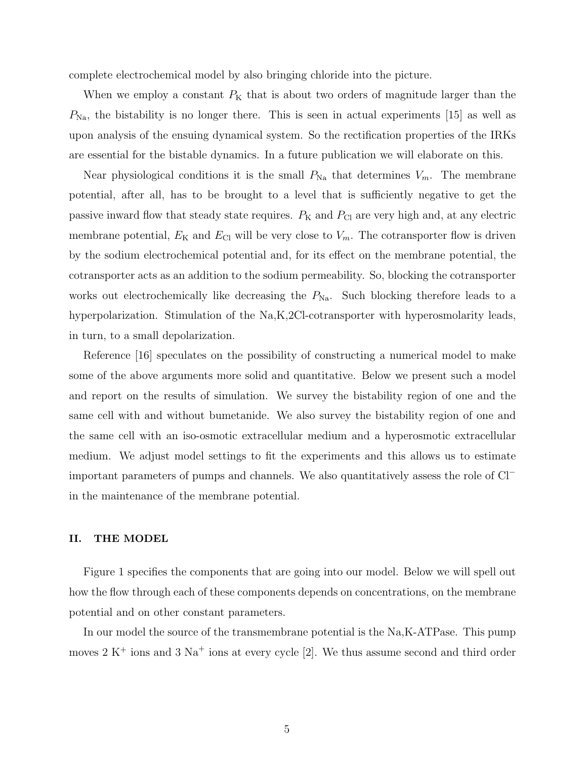complete electrochemical model by also bringing chloride into the picture.

When we employ a constant  $P_K$  that is about two orders of magnitude larger than the  $P_{\text{Na}}$ , the bistability is no longer there. This is seen in actual experiments [15] as well as upon analysis of the ensuing dynamical system. So the rectification properties of the IRKs are essential for the bistable dynamics. In a future publication we will elaborate on this.

Near physiological conditions it is the small  $P_{\text{Na}}$  that determines  $V_m$ . The membrane potential, after all, has to be brought to a level that is sufficiently negative to get the passive inward flow that steady state requires.  $P_K$  and  $P_{Cl}$  are very high and, at any electric membrane potential,  $E_K$  and  $E_{Cl}$  will be very close to  $V_m$ . The cotransporter flow is driven by the sodium electrochemical potential and, for its effect on the membrane potential, the cotransporter acts as an addition to the sodium permeability. So, blocking the cotransporter works out electrochemically like decreasing the  $P_{\text{Na}}$ . Such blocking therefore leads to a hyperpolarization. Stimulation of the Na,K,2Cl-cotransporter with hyperosmolarity leads, in turn, to a small depolarization.

Reference [16] speculates on the possibility of constructing a numerical model to make some of the above arguments more solid and quantitative. Below we present such a model and report on the results of simulation. We survey the bistability region of one and the same cell with and without bumetanide. We also survey the bistability region of one and the same cell with an iso-osmotic extracellular medium and a hyperosmotic extracellular medium. We adjust model settings to fit the experiments and this allows us to estimate important parameters of pumps and channels. We also quantitatively assess the role of Cl<sup>−</sup> in the maintenance of the membrane potential.

### II. THE MODEL

Figure 1 specifies the components that are going into our model. Below we will spell out how the flow through each of these components depends on concentrations, on the membrane potential and on other constant parameters.

In our model the source of the transmembrane potential is the Na,K-ATPase. This pump moves  $2 K<sup>+</sup>$  ions and  $3 Na<sup>+</sup>$  ions at every cycle [2]. We thus assume second and third order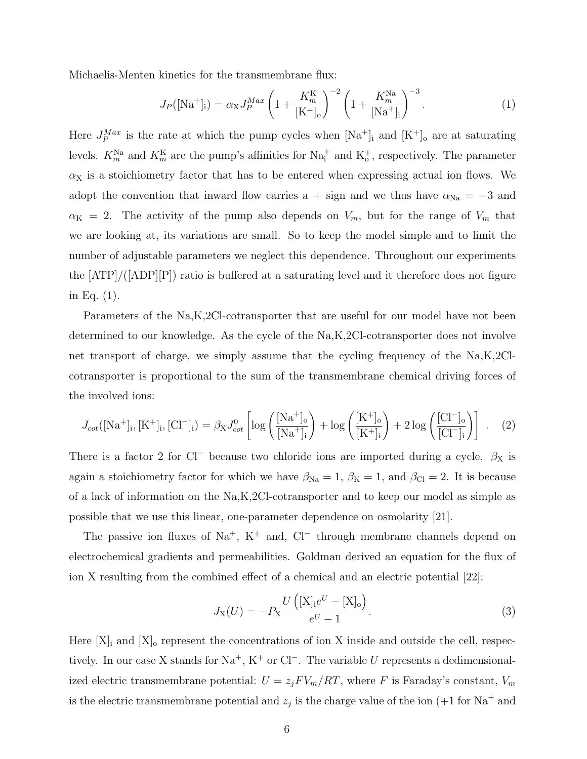Michaelis-Menten kinetics for the transmembrane flux:

$$
J_P([\text{Na}^+]_i) = \alpha_X J_P^{Max} \left( 1 + \frac{K_m^K}{[\text{K}^+]_o} \right)^{-2} \left( 1 + \frac{K_m^{\text{Na}}}{[\text{Na}^+]_i} \right)^{-3} . \tag{1}
$$

Here  $J_P^{Max}$  is the rate at which the pump cycles when  $[Na^+]$  and  $[K^+]$  are at saturating levels.  $K_m^{\text{Na}}$  and  $K_m^{\text{K}}$  are the pump's affinities for  $\text{Na}_i^+$  and  $K_o^+$ , respectively. The parameter  $\alpha$ <sub>X</sub> is a stoichiometry factor that has to be entered when expressing actual ion flows. We adopt the convention that inward flow carries a + sign and we thus have  $\alpha_{\text{Na}} = -3$  and  $\alpha_K = 2$ . The activity of the pump also depends on  $V_m$ , but for the range of  $V_m$  that we are looking at, its variations are small. So to keep the model simple and to limit the number of adjustable parameters we neglect this dependence. Throughout our experiments the [ATP]/([ADP][P]) ratio is buffered at a saturating level and it therefore does not figure in Eq. (1).

Parameters of the Na,K,2Cl-cotransporter that are useful for our model have not been determined to our knowledge. As the cycle of the Na,K,2Cl-cotransporter does not involve net transport of charge, we simply assume that the cycling frequency of the Na,K,2Clcotransporter is proportional to the sum of the transmembrane chemical driving forces of the involved ions:

$$
J_{cot}([\text{Na}^+]_i, [\text{K}^+]_i, [\text{Cl}^-]_i) = \beta_{\text{X}} J_{cot}^0 \left[ \log \left( \frac{[\text{Na}^+]_o}{[\text{Na}^+]_i} \right) + \log \left( \frac{[\text{K}^+]_o}{[\text{K}^+]_i} \right) + 2 \log \left( \frac{[\text{Cl}^-]_o}{[\text{Cl}^-]_i} \right) \right] \ . \tag{2}
$$

There is a factor 2 for Cl<sup>-</sup> because two chloride ions are imported during a cycle.  $\beta_X$  is again a stoichiometry factor for which we have  $\beta_{\text{Na}} = 1$ ,  $\beta_{\text{K}} = 1$ , and  $\beta_{\text{Cl}} = 2$ . It is because of a lack of information on the Na,K,2Cl-cotransporter and to keep our model as simple as possible that we use this linear, one-parameter dependence on osmolarity [21].

The passive ion fluxes of  $\text{Na}^+$ , K<sup>+</sup> and, Cl<sup>−</sup> through membrane channels depend on electrochemical gradients and permeabilities. Goldman derived an equation for the flux of ion X resulting from the combined effect of a chemical and an electric potential [22]:

$$
J_{X}(U) = -P_{X} \frac{U\left( [X]_{i}e^{U} - [X]_{o} \right)}{e^{U} - 1}.
$$
\n(3)

Here  $[X]_i$  and  $[X]_o$  represent the concentrations of ion X inside and outside the cell, respectively. In our case X stands for Na<sup>+</sup>, K<sup>+</sup> or Cl<sup>−</sup>. The variable U represents a dedimensionalized electric transmembrane potential:  $U = z_j F V_m / RT$ , where F is Faraday's constant,  $V_m$ is the electric transmembrane potential and  $z_j$  is the charge value of the ion  $(+1$  for Na<sup>+</sup> and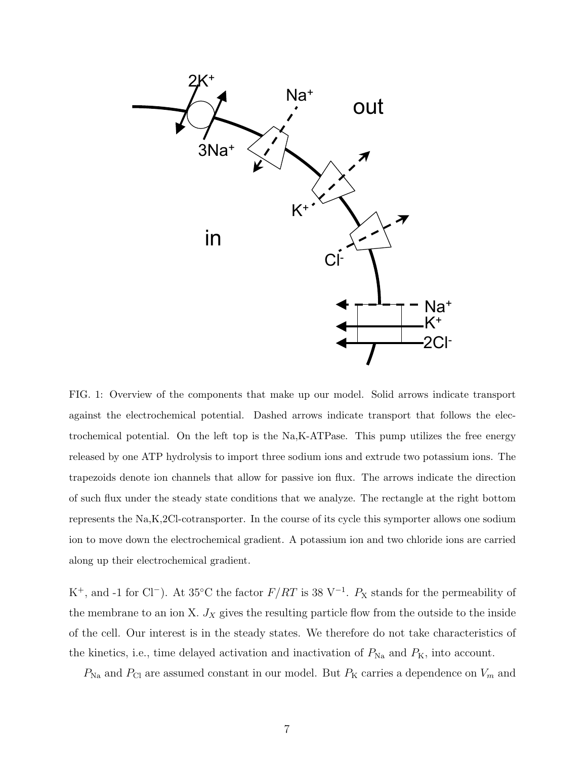

FIG. 1: Overview of the components that make up our model. Solid arrows indicate transport against the electrochemical potential. Dashed arrows indicate transport that follows the electrochemical potential. On the left top is the Na,K-ATPase. This pump utilizes the free energy released by one ATP hydrolysis to import three sodium ions and extrude two potassium ions. The trapezoids denote ion channels that allow for passive ion flux. The arrows indicate the direction of such flux under the steady state conditions that we analyze. The rectangle at the right bottom represents the Na,K,2Cl-cotransporter. In the course of its cycle this symporter allows one sodium ion to move down the electrochemical gradient. A potassium ion and two chloride ions are carried along up their electrochemical gradient.

K<sup>+</sup>, and -1 for Cl<sup>-</sup>). At 35<sup>°</sup>C the factor  $F/RT$  is 38 V<sup>-1</sup>.  $P_X$  stands for the permeability of the membrane to an ion X.  $J_X$  gives the resulting particle flow from the outside to the inside of the cell. Our interest is in the steady states. We therefore do not take characteristics of the kinetics, i.e., time delayed activation and inactivation of  $P_{\text{Na}}$  and  $P_{\text{K}}$ , into account.

 $P_{\text{Na}}$  and  $P_{\text{Cl}}$  are assumed constant in our model. But  $P_{\text{K}}$  carries a dependence on  $V_m$  and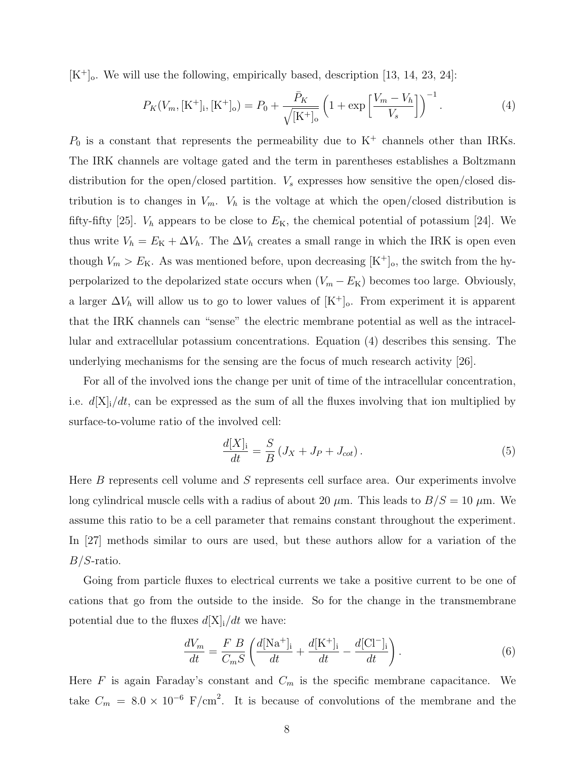$[K^+]$ . We will use the following, empirically based, description [13, 14, 23, 24]:

$$
P_K(V_m, [\mathrm{K}^+]_i, [\mathrm{K}^+]_o) = P_0 + \frac{\bar{P}_K}{\sqrt{[\mathrm{K}^+]_o}} \left(1 + \exp\left[\frac{V_m - V_h}{V_s}\right]\right)^{-1}.\tag{4}
$$

 $P_0$  is a constant that represents the permeability due to  $K^+$  channels other than IRKs. The IRK channels are voltage gated and the term in parentheses establishes a Boltzmann distribution for the open/closed partition.  $V_s$  expresses how sensitive the open/closed distribution is to changes in  $V_m$ .  $V_h$  is the voltage at which the open/closed distribution is fifty-fifty [25].  $V_h$  appears to be close to  $E_K$ , the chemical potential of potassium [24]. We thus write  $V_h = E_K + \Delta V_h$ . The  $\Delta V_h$  creates a small range in which the IRK is open even though  $V_m > E_K$ . As was mentioned before, upon decreasing  $[K^+]_0$ , the switch from the hyperpolarized to the depolarized state occurs when  $(V_m - E_K)$  becomes too large. Obviously, a larger  $\Delta V_h$  will allow us to go to lower values of  $[K^+]_0$ . From experiment it is apparent that the IRK channels can "sense" the electric membrane potential as well as the intracellular and extracellular potassium concentrations. Equation (4) describes this sensing. The underlying mechanisms for the sensing are the focus of much research activity [26].

For all of the involved ions the change per unit of time of the intracellular concentration, i.e.  $d[X_i]/dt$ , can be expressed as the sum of all the fluxes involving that ion multiplied by surface-to-volume ratio of the involved cell:

$$
\frac{d[X]_i}{dt} = \frac{S}{B} (J_X + J_P + J_{cot}).
$$
\n(5)

Here B represents cell volume and S represents cell surface area. Our experiments involve long cylindrical muscle cells with a radius of about 20  $\mu$ m. This leads to  $B/S = 10 \mu$ m. We assume this ratio to be a cell parameter that remains constant throughout the experiment. In [27] methods similar to ours are used, but these authors allow for a variation of the B/S-ratio.

Going from particle fluxes to electrical currents we take a positive current to be one of cations that go from the outside to the inside. So for the change in the transmembrane potential due to the fluxes  $d[X]_i/dt$  we have:

$$
\frac{dV_m}{dt} = \frac{F}{C_m S} \left( \frac{d[\text{Na}^+]_{i}}{dt} + \frac{d[\text{K}^+]_{i}}{dt} - \frac{d[\text{Cl}^-]_{i}}{dt} \right). \tag{6}
$$

Here  $F$  is again Faraday's constant and  $C_m$  is the specific membrane capacitance. We take  $C_m = 8.0 \times 10^{-6}$  F/cm<sup>2</sup>. It is because of convolutions of the membrane and the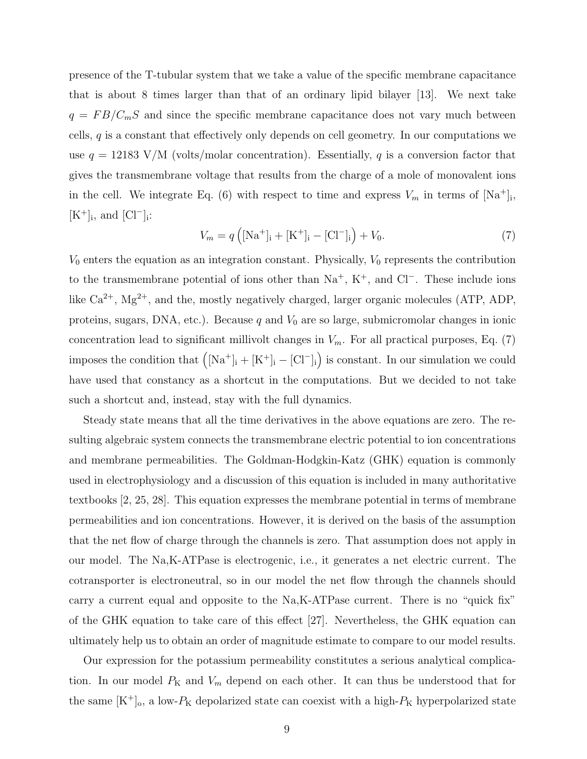presence of the T-tubular system that we take a value of the specific membrane capacitance that is about 8 times larger than that of an ordinary lipid bilayer [13]. We next take  $q = FB/C_mS$  and since the specific membrane capacitance does not vary much between cells, q is a constant that effectively only depends on cell geometry. In our computations we use  $q = 12183$  V/M (volts/molar concentration). Essentially, q is a conversion factor that gives the transmembrane voltage that results from the charge of a mole of monovalent ions in the cell. We integrate Eq. (6) with respect to time and express  $V_m$  in terms of  $[Na^+]_i$ ,  $[K^+]_i$ , and  $[Cl^-]_i$ :

$$
V_m = q\left( [\text{Na}^+]_i + [\text{K}^+]_i - [\text{Cl}^-]_i \right) + V_0. \tag{7}
$$

 $V_0$  enters the equation as an integration constant. Physically,  $V_0$  represents the contribution to the transmembrane potential of ions other than  $Na^+$ , K<sup>+</sup>, and Cl<sup>−</sup>. These include ions like  $Ca^{2+}$ ,  $Mg^{2+}$ , and the, mostly negatively charged, larger organic molecules (ATP, ADP, proteins, sugars, DNA, etc.). Because  $q$  and  $V_0$  are so large, submicromolar changes in ionic concentration lead to significant millivolt changes in  $V_m$ . For all practical purposes, Eq. (7) imposes the condition that  $([Na<sup>+</sup>]$ <sub>i</sub> +  $[K<sup>+</sup>]$ <sub>i</sub> -  $[Cl<sup>-</sup>]$ <sub>i</sub>) is constant. In our simulation we could have used that constancy as a shortcut in the computations. But we decided to not take such a shortcut and, instead, stay with the full dynamics.

Steady state means that all the time derivatives in the above equations are zero. The resulting algebraic system connects the transmembrane electric potential to ion concentrations and membrane permeabilities. The Goldman-Hodgkin-Katz (GHK) equation is commonly used in electrophysiology and a discussion of this equation is included in many authoritative textbooks [2, 25, 28]. This equation expresses the membrane potential in terms of membrane permeabilities and ion concentrations. However, it is derived on the basis of the assumption that the net flow of charge through the channels is zero. That assumption does not apply in our model. The Na,K-ATPase is electrogenic, i.e., it generates a net electric current. The cotransporter is electroneutral, so in our model the net flow through the channels should carry a current equal and opposite to the Na,K-ATPase current. There is no "quick fix" of the GHK equation to take care of this effect [27]. Nevertheless, the GHK equation can ultimately help us to obtain an order of magnitude estimate to compare to our model results.

Our expression for the potassium permeability constitutes a serious analytical complication. In our model  $P_K$  and  $V_m$  depend on each other. It can thus be understood that for the same  $[K^+]_0$ , a low- $P_K$  depolarized state can coexist with a high- $P_K$  hyperpolarized state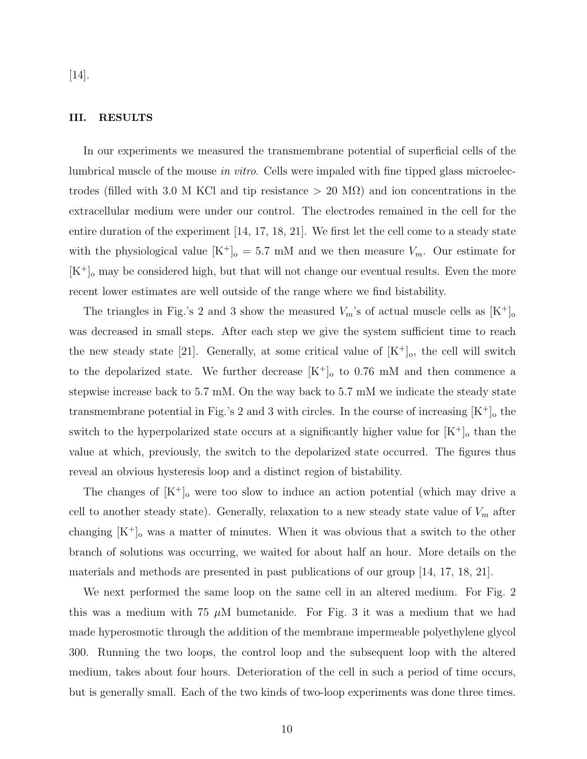[14].

### III. RESULTS

In our experiments we measured the transmembrane potential of superficial cells of the lumbrical muscle of the mouse in vitro. Cells were impaled with fine tipped glass microelectrodes (filled with 3.0 M KCl and tip resistance  $> 20$  M $\Omega$ ) and ion concentrations in the extracellular medium were under our control. The electrodes remained in the cell for the entire duration of the experiment [14, 17, 18, 21]. We first let the cell come to a steady state with the physiological value  $[K^+]_0 = 5.7$  mM and we then measure  $V_m$ . Our estimate for  $[K^+]$ <sub>o</sub> may be considered high, but that will not change our eventual results. Even the more recent lower estimates are well outside of the range where we find bistability.

The triangles in Fig.'s 2 and 3 show the measured  $V_m$ 's of actual muscle cells as  $[K^+]_0$ was decreased in small steps. After each step we give the system sufficient time to reach the new steady state [21]. Generally, at some critical value of  $[K^+]_0$ , the cell will switch to the depolarized state. We further decrease  $[K^+]_o$  to 0.76 mM and then commence a stepwise increase back to 5.7 mM. On the way back to 5.7 mM we indicate the steady state transmembrane potential in Fig.'s 2 and 3 with circles. In the course of increasing  $[K^+]$ <sub>o</sub> the switch to the hyperpolarized state occurs at a significantly higher value for  $[K^+]_o$  than the value at which, previously, the switch to the depolarized state occurred. The figures thus reveal an obvious hysteresis loop and a distinct region of bistability.

The changes of  $[K^+]_0$  were too slow to induce an action potential (which may drive a cell to another steady state). Generally, relaxation to a new steady state value of  $V_m$  after changing  $[K^+]$ <sub>o</sub> was a matter of minutes. When it was obvious that a switch to the other branch of solutions was occurring, we waited for about half an hour. More details on the materials and methods are presented in past publications of our group [14, 17, 18, 21].

We next performed the same loop on the same cell in an altered medium. For Fig. 2 this was a medium with 75  $\mu$ M bumetanide. For Fig. 3 it was a medium that we had made hyperosmotic through the addition of the membrane impermeable polyethylene glycol 300. Running the two loops, the control loop and the subsequent loop with the altered medium, takes about four hours. Deterioration of the cell in such a period of time occurs, but is generally small. Each of the two kinds of two-loop experiments was done three times.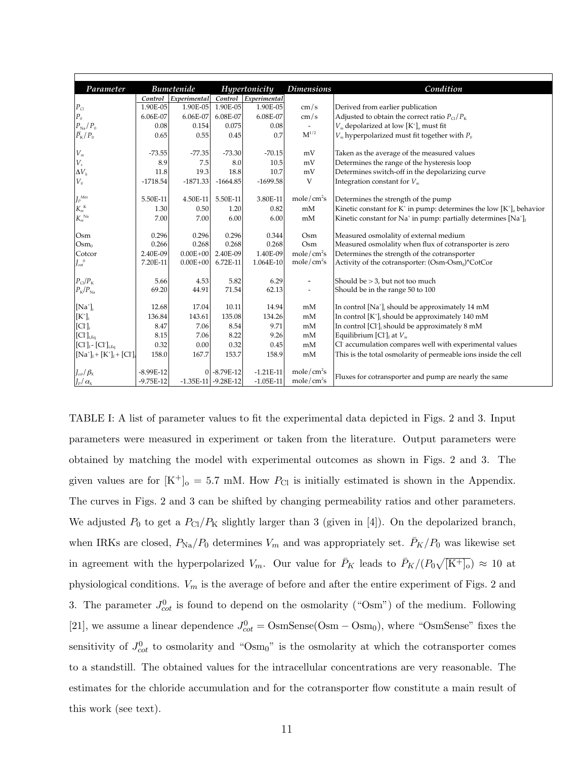| Parameter                                                                   | <b>Bumetenide</b> |                      | Hypertonicity           |                      | <b>Dimensions</b>        | Condition                                                                                |
|-----------------------------------------------------------------------------|-------------------|----------------------|-------------------------|----------------------|--------------------------|------------------------------------------------------------------------------------------|
|                                                                             |                   | Control Experimental |                         | Control Experimental |                          |                                                                                          |
| $P_{Cl}$                                                                    | 1.90E-05          | 1.90E-05             | 1.90E-05                | 1.90E-05             | cm/s                     | Derived from earlier publication                                                         |
| $\boldsymbol{P}_0$                                                          | 6.06E-07          | 6.06E-07             | 6.08E-07                | 6.08E-07             | cm/s                     | Adjusted to obtain the correct ratio $P_{\text{Cl}}/P_{\text{K}}$                        |
| $P_{\rm Na}/\,P_{\rm 0}$                                                    | 0.08              | 0.154                | 0.075                   | 0.08                 |                          | $V_m$ depolarized at low $[K^{\dagger}]_0$ must fit                                      |
| $\ensuremath{\bar{P}_\mathrm{K}}\xspace / \ensuremath{P_\mathrm{0}}\xspace$ | 0.65              | 0.55                 | 0.45                    | 0.7                  | $M^{1/2}$                | $V_m$ hyperpolarized must fit together with $P_0$                                        |
|                                                                             |                   |                      |                         |                      |                          |                                                                                          |
| $V_m$                                                                       | $-73.55$          | $-77.35$             | $-73.30$                | $-70.15$             | mV                       | Taken as the average of the measured values                                              |
| $V_{\scriptscriptstyle s}$                                                  | 8.9               | 7.5                  | 8.0                     | 10.5                 | mV                       | Determines the range of the hysteresis loop                                              |
| $\Delta V_h$                                                                | 11.8              | 19.3                 | 18.8                    | 10.7                 | mV                       | Determines switch-off in the depolarizing curve                                          |
| $V_{\mathfrak{o}}$                                                          | $-1718.54$        | $-1871.33$           | $-1664.85$              | $-1699.58$           | V                        | Integration constant for $V_m$                                                           |
| $J_{\scriptscriptstyle P}{}^{\scriptscriptstyle Max}$                       | 5.50E-11          | 4.50E-11             | 5.50E-11                | 3.80E-11             | mole/cm <sup>2</sup> s   | Determines the strength of the pump                                                      |
|                                                                             | 1.30              |                      | 1.20                    | 0.82                 | mM                       |                                                                                          |
| ${K_m}^{\text{\tiny K}}$<br>$K_m^{\text{Na}}$                               | 7.00              | 0.50<br>7.00         |                         |                      | mM                       | Kinetic constant for $K^+$ in pump: determines the low $[K^+]$ <sub>o</sub> behavior     |
|                                                                             |                   |                      | 6.00                    | 6.00                 |                          | Kinetic constant for Na <sup>+</sup> in pump: partially determines $[Na^+]$ <sub>I</sub> |
| Osm                                                                         | 0.296             | 0.296                | 0.296                   | 0.344                | Osm                      | Measured osmolality of external medium                                                   |
| $Osm_0$                                                                     | 0.266             | 0.268                | 0.268                   | 0.268                | Osm                      | Measured osmolality when flux of cotransporter is zero                                   |
| Cotcor                                                                      | 2.40E-09          | $0.00E + 00$         | 2.40E-09                | 1.40E-09             | mole/cm <sup>2</sup> s   | Determines the strength of the cotransporter                                             |
| $J_{\infty t}^{0}$                                                          | 7.20E-11          | $0.00E + 00$         | 6.72E-11                | 1.064E-10            | mole/cm <sup>2</sup> s   | Activity of the cotransporter: (Osm-Osm <sub>0</sub> )*CotCor                            |
|                                                                             |                   |                      |                         |                      |                          |                                                                                          |
| $P_{\text{Cl}}/P_{\text{K}}$                                                | 5.66              | 4.53                 | 5.82                    | 6.29                 | -                        | Should be $> 3$ , but not too much                                                       |
| $P_{\rm K}/P_{\rm Na}$                                                      | 69.20             | 44.91                | 71.54                   | 62.13                | $\overline{\phantom{a}}$ | Should be in the range 50 to 100                                                         |
| $[Na+]$ <sub>i</sub>                                                        | 12.68             | 17.04                | 10.11                   | 14.94                | mM                       | In control [Na <sup>+</sup> ], should be approximately 14 mM                             |
| $[\mathrm{K}^*]_{\scriptscriptstyle \rm i}$                                 | 136.84            | 143.61               | 135.08                  | 134.26               | mM                       | In control [K <sup>+</sup> ] <sub>i</sub> should be approximately 140 mM                 |
| [Cl <sub>i</sub> ]                                                          | 8.47              | 7.06                 | 8.54                    | 9.71                 | $\rm{mM}$                | In control [Cl <sup>-</sup> ] <sub>i</sub> should be approximately 8 mM                  |
| $[\mathbf{C}\mathbf{l}^{\text{-}}]_{\text{i,Eq}}$                           | 8.15              | 7.06                 | 8.22                    | 9.26                 | mM                       | Equilibrium [Cl <sup>-</sup> ] <sub>I</sub> at $V_m$                                     |
| $[\text{Cl}^{\text{-}}]_I$ - $[\text{Cl}^{\text{-}}]_{i,Eq}$                | 0.32              | 0.00                 | 0.32                    | 0.45                 | mM                       | Cl accumulation compares well with experimental values                                   |
| $[Na^+]_I + [K^+]_I + [Cl^+]_i$                                             | 158.0             | 167.7                | 153.7                   | 158.9                | mM                       | This is the total osmolarity of permeable ions inside the cell                           |
|                                                                             |                   |                      |                         |                      |                          |                                                                                          |
| $J_{\rm \omega t}/\beta_{\rm X}$                                            | $-8.99E-12$       |                      | 0 -8.79E-12             | $-1.21E-11$          | mole/cm <sup>2</sup> s   |                                                                                          |
| $J_P/\alpha_{\rm X}$                                                        | $-9.75E-12$       |                      | $-1.35E-11$ $-9.28E-12$ | $-1.05E-11$          | mole/cm <sup>2</sup> s   | Fluxes for cotransporter and pump are nearly the same                                    |

TABLE I: A list of parameter values to fit the experimental data depicted in Figs. 2 and 3. Input parameters were measured in experiment or taken from the literature. Output parameters were obtained by matching the model with experimental outcomes as shown in Figs. 2 and 3. The given values are for  $[K^+]_0 = 5.7$  mM. How  $P_{Cl}$  is initially estimated is shown in the Appendix. The curves in Figs. 2 and 3 can be shifted by changing permeability ratios and other parameters. We adjusted  $P_0$  to get a  $P_{\text{Cl}}/P_K$  slightly larger than 3 (given in [4]). On the depolarized branch, when IRKs are closed,  $P_{\text{Na}}/P_0$  determines  $V_m$  and was appropriately set.  $\bar{P}_K/P_0$  was likewise set in agreement with the hyperpolarized  $V_m$ . Our value for  $\bar{P}_K$  leads to  $\bar{P}_K/(P_0\sqrt{[K^+]_0}) \approx 10$  at physiological conditions.  $V_m$  is the average of before and after the entire experiment of Figs. 2 and 3. The parameter  $J_{\text{cot}}^0$  is found to depend on the osmolarity ("Osm") of the medium. Following [21], we assume a linear dependence  $J_{\text{cot}}^0 = \text{OsmSense}(\text{Osm} - \text{Osm}_0)$ , where "OsmSense" fixes the sensitivity of  $J_{\text{cot}}^0$  to osmolarity and "Osm<sub>0</sub>" is the osmolarity at which the cotransporter comes to a standstill. The obtained values for the intracellular concentrations are very reasonable. The estimates for the chloride accumulation and for the cotransporter flow constitute a main result of this work (see text).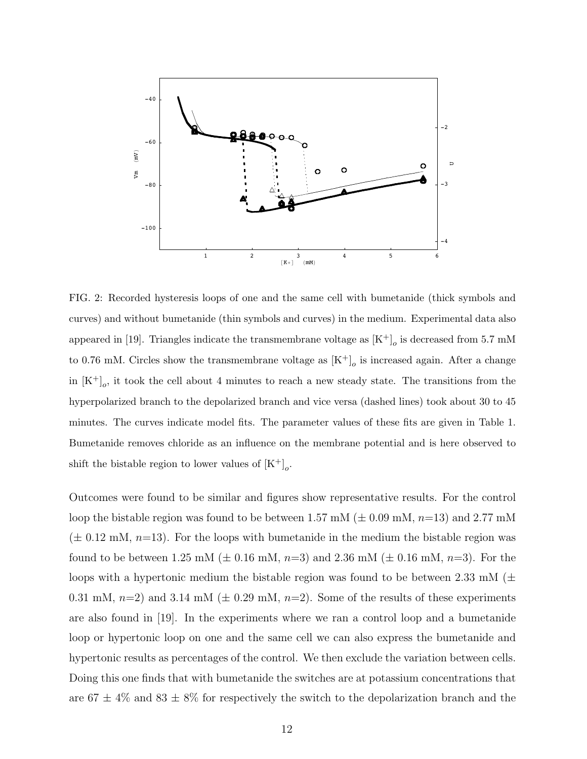

FIG. 2: Recorded hysteresis loops of one and the same cell with bumetanide (thick symbols and curves) and without bumetanide (thin symbols and curves) in the medium. Experimental data also appeared in [19]. Triangles indicate the transmembrane voltage as  $[K^+]_o$  is decreased from 5.7 mM to 0.76 mM. Circles show the transmembrane voltage as  $[K^+]_o$  is increased again. After a change in  $[K^+]_o$ , it took the cell about 4 minutes to reach a new steady state. The transitions from the hyperpolarized branch to the depolarized branch and vice versa (dashed lines) took about 30 to 45 minutes. The curves indicate model fits. The parameter values of these fits are given in Table 1. Bumetanide removes chloride as an influence on the membrane potential and is here observed to shift the bistable region to lower values of  $[K^+]_o$ .

Outcomes were found to be similar and figures show representative results. For the control loop the bistable region was found to be between 1.57 mM ( $\pm$  0.09 mM, n=13) and 2.77 mM  $(\pm 0.12 \text{ mM}, n=13)$ . For the loops with bumetanide in the medium the bistable region was found to be between 1.25 mM ( $\pm$  0.16 mM, n=3) and 2.36 mM ( $\pm$  0.16 mM, n=3). For the loops with a hypertonic medium the bistable region was found to be between 2.33 mM ( $\pm$ 0.31 mM,  $n=2$ ) and 3.14 mM ( $\pm$  0.29 mM,  $n=2$ ). Some of the results of these experiments are also found in [19]. In the experiments where we ran a control loop and a bumetanide loop or hypertonic loop on one and the same cell we can also express the bumetanide and hypertonic results as percentages of the control. We then exclude the variation between cells. Doing this one finds that with bumetanide the switches are at potassium concentrations that are  $67 \pm 4\%$  and  $83 \pm 8\%$  for respectively the switch to the depolarization branch and the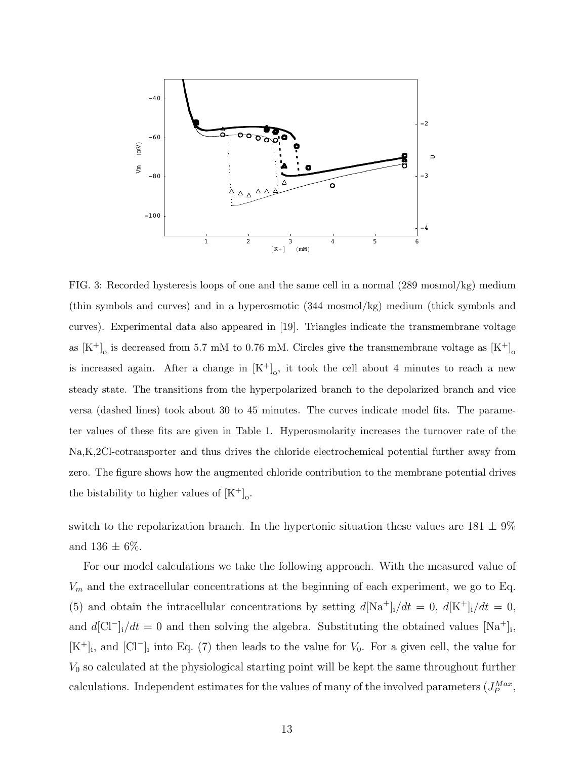

FIG. 3: Recorded hysteresis loops of one and the same cell in a normal (289 mosmol/kg) medium (thin symbols and curves) and in a hyperosmotic (344 mosmol/kg) medium (thick symbols and curves). Experimental data also appeared in [19]. Triangles indicate the transmembrane voltage as  $[K^+]$ <sub>o</sub> is decreased from 5.7 mM to 0.76 mM. Circles give the transmembrane voltage as  $[K^+]$ <sub>o</sub> is increased again. After a change in  $[K^+]_0$ , it took the cell about 4 minutes to reach a new steady state. The transitions from the hyperpolarized branch to the depolarized branch and vice versa (dashed lines) took about 30 to 45 minutes. The curves indicate model fits. The parameter values of these fits are given in Table 1. Hyperosmolarity increases the turnover rate of the Na,K,2Cl-cotransporter and thus drives the chloride electrochemical potential further away from zero. The figure shows how the augmented chloride contribution to the membrane potential drives the bistability to higher values of  $[K^+]$ <sub>o</sub>.

switch to the repolarization branch. In the hypertonic situation these values are  $181 \pm 9\%$ and  $136 \pm 6\%$ .

For our model calculations we take the following approach. With the measured value of  $V_m$  and the extracellular concentrations at the beginning of each experiment, we go to Eq. (5) and obtain the intracellular concentrations by setting  $d[Na^+]_i/dt = 0$ ,  $d[K^+]_i/dt = 0$ , and  $d[\text{Cl}^-]_i/dt = 0$  and then solving the algebra. Substituting the obtained values  $[\text{Na}^+]_i$ ,  $[K^+]_i$ , and  $[\text{Cl}^-]_i$  into Eq. (7) then leads to the value for  $V_0$ . For a given cell, the value for  $V_0$  so calculated at the physiological starting point will be kept the same throughout further calculations. Independent estimates for the values of many of the involved parameters  $(J_P^{Max},$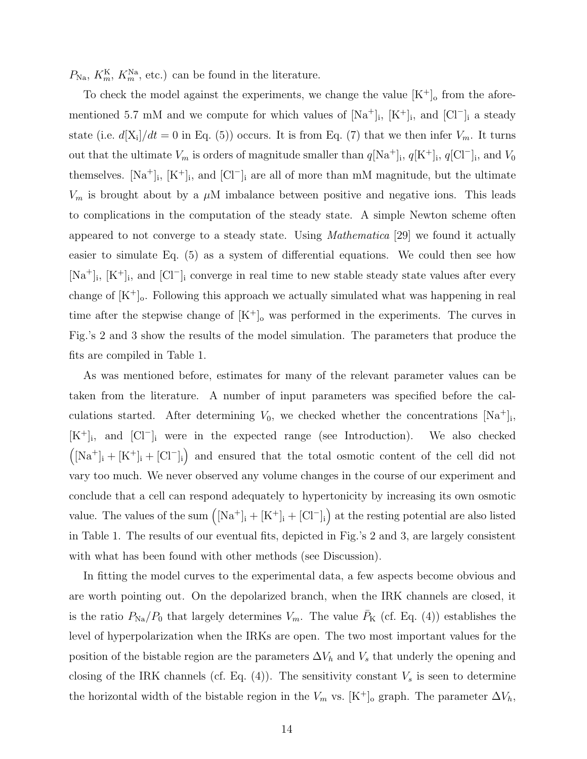$P_{\text{Na}}$ ,  $K_m^{\text{K}}$ ,  $K_m^{\text{Na}}$ , etc.) can be found in the literature.

To check the model against the experiments, we change the value  $[K^+]$ <sub>o</sub> from the aforementioned 5.7 mM and we compute for which values of  $[Na^+]_i$ ,  $[K^+]_i$ , and  $[C]_i^-$  a steady state (i.e.  $d[X_i]/dt = 0$  in Eq. (5)) occurs. It is from Eq. (7) that we then infer  $V_m$ . It turns out that the ultimate  $V_m$  is orders of magnitude smaller than  $q[\text{Na}^+]_i$ ,  $q[\text{K}^+]_i$ ,  $q[\text{Cl}^-]_i$ , and  $V_0$ themselves.  $[Na^+]_i$ ,  $[K^+]_i$ , and  $[Cl^-]_i$  are all of more than mM magnitude, but the ultimate  $V_m$  is brought about by a  $\mu$ M imbalance between positive and negative ions. This leads to complications in the computation of the steady state. A simple Newton scheme often appeared to not converge to a steady state. Using *Mathematica* [29] we found it actually easier to simulate Eq. (5) as a system of differential equations. We could then see how  $[Na^+]_i$ ,  $[K^+]_i$ , and  $[Cl^-]_i$  converge in real time to new stable steady state values after every change of  $[K^+]_0$ . Following this approach we actually simulated what was happening in real time after the stepwise change of  $[K^+]$ <sub>o</sub> was performed in the experiments. The curves in Fig.'s 2 and 3 show the results of the model simulation. The parameters that produce the fits are compiled in Table 1.

As was mentioned before, estimates for many of the relevant parameter values can be taken from the literature. A number of input parameters was specified before the calculations started. After determining  $V_0$ , we checked whether the concentrations  $[Na^+]_i$ , [K<sup>+</sup>]<sub>i</sub>, and [Cl<sup>−</sup>]<sub>i</sub> were in the expected range (see Introduction). We also checked  $([Na<sup>+</sup>]$ <sub>i</sub> + [K<sup>+</sup>]<sub>i</sub> + [Cl<sup>-</sup>]<sub>i</sub>) and ensured that the total osmotic content of the cell did not vary too much. We never observed any volume changes in the course of our experiment and conclude that a cell can respond adequately to hypertonicity by increasing its own osmotic value. The values of the sum  $([Na^+]_i + [K^+]_i + [Cl^-]_i)$  at the resting potential are also listed in Table 1. The results of our eventual fits, depicted in Fig.'s 2 and 3, are largely consistent with what has been found with other methods (see Discussion).

In fitting the model curves to the experimental data, a few aspects become obvious and are worth pointing out. On the depolarized branch, when the IRK channels are closed, it is the ratio  $P_{\text{Na}}/P_0$  that largely determines  $V_m$ . The value  $\bar{P}_K$  (cf. Eq. (4)) establishes the level of hyperpolarization when the IRKs are open. The two most important values for the position of the bistable region are the parameters  $\Delta V_h$  and  $V_s$  that underly the opening and closing of the IRK channels (cf. Eq.  $(4)$ ). The sensitivity constant  $V_s$  is seen to determine the horizontal width of the bistable region in the  $V_m$  vs. [K<sup>+</sup>]<sub>o</sub> graph. The parameter  $\Delta V_h$ ,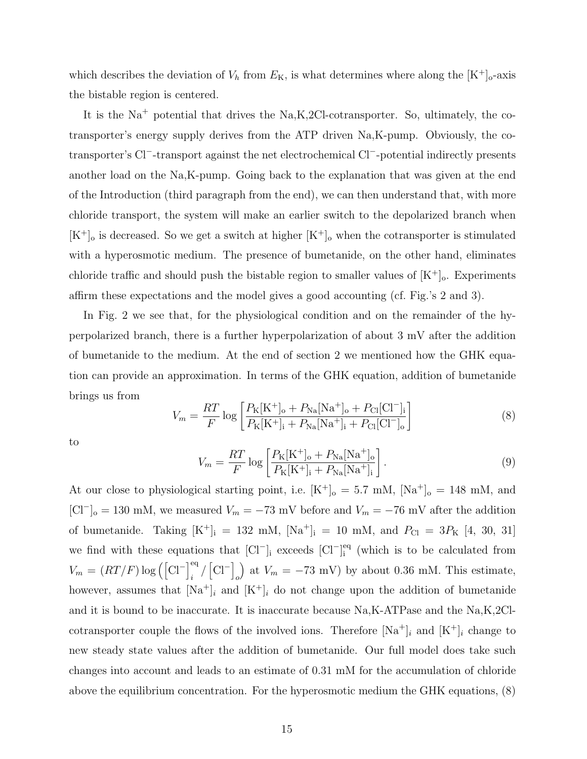which describes the deviation of  $V_h$  from  $E_K$ , is what determines where along the  $[K^+]$ <sub>o</sub>-axis the bistable region is centered.

It is the  $Na<sup>+</sup>$  potential that drives the Na,K,2Cl-cotransporter. So, ultimately, the cotransporter's energy supply derives from the ATP driven Na,K-pump. Obviously, the cotransporter's Cl<sup>−</sup> -transport against the net electrochemical Cl<sup>−</sup> -potential indirectly presents another load on the Na,K-pump. Going back to the explanation that was given at the end of the Introduction (third paragraph from the end), we can then understand that, with more chloride transport, the system will make an earlier switch to the depolarized branch when  $[K^+]_o$  is decreased. So we get a switch at higher  $[K^+]_o$  when the cotransporter is stimulated with a hyperosmotic medium. The presence of bumetanide, on the other hand, eliminates chloride traffic and should push the bistable region to smaller values of  $[K^+]$ <sub>o</sub>. Experiments affirm these expectations and the model gives a good accounting (cf. Fig.'s 2 and 3).

In Fig. 2 we see that, for the physiological condition and on the remainder of the hyperpolarized branch, there is a further hyperpolarization of about 3 mV after the addition of bumetanide to the medium. At the end of section 2 we mentioned how the GHK equation can provide an approximation. In terms of the GHK equation, addition of bumetanide brings us from

$$
V_m = \frac{RT}{F} \log \left[ \frac{P_K [K^+]_o + P_{Na} [Na^+]_o + P_{Cl} [Cl^-]_i}{P_K [K^+]_i + P_{Na} [Na^+]_i + P_{Cl} [Cl^-]_o} \right]
$$
(8)

to

$$
V_m = \frac{RT}{F} \log \left[ \frac{P_{\rm K}[\rm K^{+}]_{\rm o} + P_{\rm Na}[\rm Na^{+}]_{\rm o}}{P_{\rm K}[\rm K^{+}]_{\rm i} + P_{\rm Na}[\rm Na^{+}]_{\rm i}} \right].
$$
 (9)

At our close to physiological starting point, i.e.  $[K^+]_0 = 5.7$  mM,  $[Na^+]_0 = 148$  mM, and [Cl<sup>-</sup>]<sub>o</sub> = 130 mM, we measured  $V_m = -73$  mV before and  $V_m = -76$  mV after the addition of bumetanide. Taking  $[K^+]_i = 132 \text{ mM}, [Na^+]_i = 10 \text{ mM}, \text{ and } P_{Cl} = 3P_K [4, 30, 31]$ we find with these equations that  $\text{[Cl}^-$ <sub>i</sub> exceeds  $\text{[Cl}^-$ <sub>i</sub><sup>eq</sup>  $\frac{eq}{i}$  (which is to be calculated from  $V_m = (RT/F) \log \left( \left[ \text{Cl}^- \right]_1^{\text{eq}} \right)$  $\binom{eq}{i}$   $\left[\text{Cl}^{-}\right]$ o ) at  $V_m = -73$  mV) by about 0.36 mM. This estimate, however, assumes that  $[Na^+]_i$  and  $[K^+]_i$  do not change upon the addition of bumetanide and it is bound to be inaccurate. It is inaccurate because Na,K-ATPase and the Na,K,2Clcotransporter couple the flows of the involved ions. Therefore  $[Na^+]_i$  and  $[K^+]_i$  change to new steady state values after the addition of bumetanide. Our full model does take such changes into account and leads to an estimate of 0.31 mM for the accumulation of chloride above the equilibrium concentration. For the hyperosmotic medium the GHK equations, (8)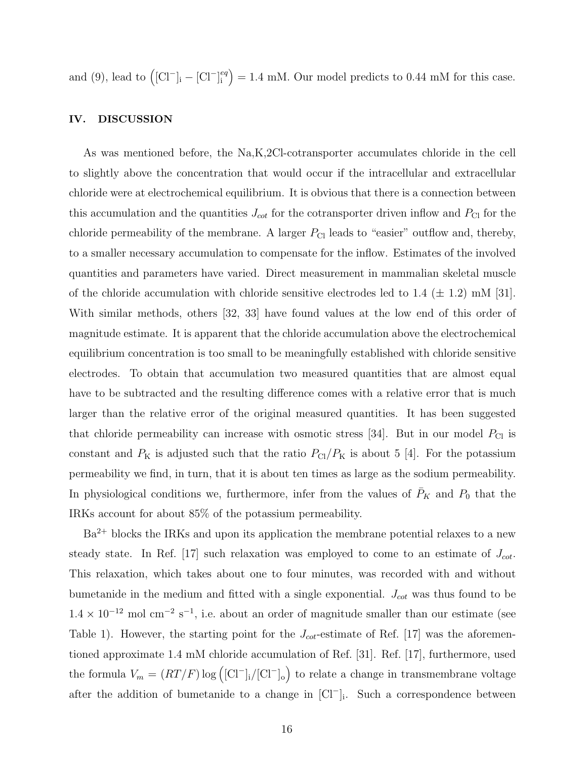and (9), lead to  $([Cl^-]_i - [Cl^-]_i^{eq}$  $\binom{eq}{i}$  = 1.4 mM. Our model predicts to 0.44 mM for this case.

#### IV. DISCUSSION

As was mentioned before, the Na,K,2Cl-cotransporter accumulates chloride in the cell to slightly above the concentration that would occur if the intracellular and extracellular chloride were at electrochemical equilibrium. It is obvious that there is a connection between this accumulation and the quantities  $J_{\text{cot}}$  for the cotransporter driven inflow and  $P_{\text{Cl}}$  for the chloride permeability of the membrane. A larger  $P_{\text{Cl}}$  leads to "easier" outflow and, thereby, to a smaller necessary accumulation to compensate for the inflow. Estimates of the involved quantities and parameters have varied. Direct measurement in mammalian skeletal muscle of the chloride accumulation with chloride sensitive electrodes led to 1.4 ( $\pm$  1.2) mM [31]. With similar methods, others [32, 33] have found values at the low end of this order of magnitude estimate. It is apparent that the chloride accumulation above the electrochemical equilibrium concentration is too small to be meaningfully established with chloride sensitive electrodes. To obtain that accumulation two measured quantities that are almost equal have to be subtracted and the resulting difference comes with a relative error that is much larger than the relative error of the original measured quantities. It has been suggested that chloride permeability can increase with osmotic stress [34]. But in our model  $P_{\text{Cl}}$  is constant and  $P_K$  is adjusted such that the ratio  $P_{\text{Cl}}/P_K$  is about 5 [4]. For the potassium permeability we find, in turn, that it is about ten times as large as the sodium permeability. In physiological conditions we, furthermore, infer from the values of  $\bar{P}_K$  and  $P_0$  that the IRKs account for about 85% of the potassium permeability.

Ba<sup>2+</sup> blocks the IRKs and upon its application the membrane potential relaxes to a new steady state. In Ref. [17] such relaxation was employed to come to an estimate of  $J_{\text{cot}}$ . This relaxation, which takes about one to four minutes, was recorded with and without bumetanide in the medium and fitted with a single exponential.  $J_{\text{cot}}$  was thus found to be  $1.4 \times 10^{-12}$  mol cm<sup>-2</sup> s<sup>-1</sup>, i.e. about an order of magnitude smaller than our estimate (see Table 1). However, the starting point for the  $J_{\text{cot}}$ -estimate of Ref. [17] was the aforementioned approximate 1.4 mM chloride accumulation of Ref. [31]. Ref. [17], furthermore, used the formula  $V_m = (RT/F) \log ( [CI^-]_i / [CI^-]_o )$  to relate a change in transmembrane voltage after the addition of bumetanide to a change in  $\left[\mathrm{Cl}^{-}\right]_i$ . Such a correspondence between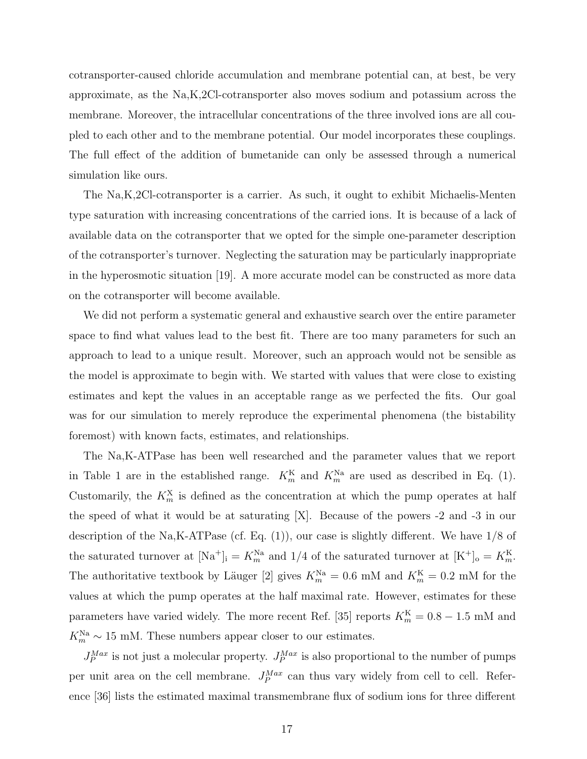cotransporter-caused chloride accumulation and membrane potential can, at best, be very approximate, as the Na,K,2Cl-cotransporter also moves sodium and potassium across the membrane. Moreover, the intracellular concentrations of the three involved ions are all coupled to each other and to the membrane potential. Our model incorporates these couplings. The full effect of the addition of bumetanide can only be assessed through a numerical simulation like ours.

The Na,K,2Cl-cotransporter is a carrier. As such, it ought to exhibit Michaelis-Menten type saturation with increasing concentrations of the carried ions. It is because of a lack of available data on the cotransporter that we opted for the simple one-parameter description of the cotransporter's turnover. Neglecting the saturation may be particularly inappropriate in the hyperosmotic situation [19]. A more accurate model can be constructed as more data on the cotransporter will become available.

We did not perform a systematic general and exhaustive search over the entire parameter space to find what values lead to the best fit. There are too many parameters for such an approach to lead to a unique result. Moreover, such an approach would not be sensible as the model is approximate to begin with. We started with values that were close to existing estimates and kept the values in an acceptable range as we perfected the fits. Our goal was for our simulation to merely reproduce the experimental phenomena (the bistability foremost) with known facts, estimates, and relationships.

The Na,K-ATPase has been well researched and the parameter values that we report in Table 1 are in the established range.  $K_m^{\text{K}}$  and  $K_m^{\text{Na}}$  are used as described in Eq. (1). Customarily, the  $K_m^X$  is defined as the concentration at which the pump operates at half the speed of what it would be at saturating [X]. Because of the powers -2 and -3 in our description of the Na,K-ATPase (cf. Eq.  $(1)$ ), our case is slightly different. We have  $1/8$  of the saturated turnover at  $[Na^+]_i = K_m^{\text{Na}}$  and  $1/4$  of the saturated turnover at  $[K^+]_o = K_m^{\text{K}}$ . The authoritative textbook by Läuger [2] gives  $K_m^{\text{Na}} = 0.6$  mM and  $K_m^{\text{K}} = 0.2$  mM for the values at which the pump operates at the half maximal rate. However, estimates for these parameters have varied widely. The more recent Ref. [35] reports  $K_m^{\text{K}} = 0.8 - 1.5 \text{ mM}$  and  $K_m^{\text{Na}} \sim 15 \text{ mM}$ . These numbers appear closer to our estimates.

 $J_P^{Max}$  is not just a molecular property.  $J_P^{Max}$  is also proportional to the number of pumps per unit area on the cell membrane.  $J_P^{Max}$  can thus vary widely from cell to cell. Reference [36] lists the estimated maximal transmembrane flux of sodium ions for three different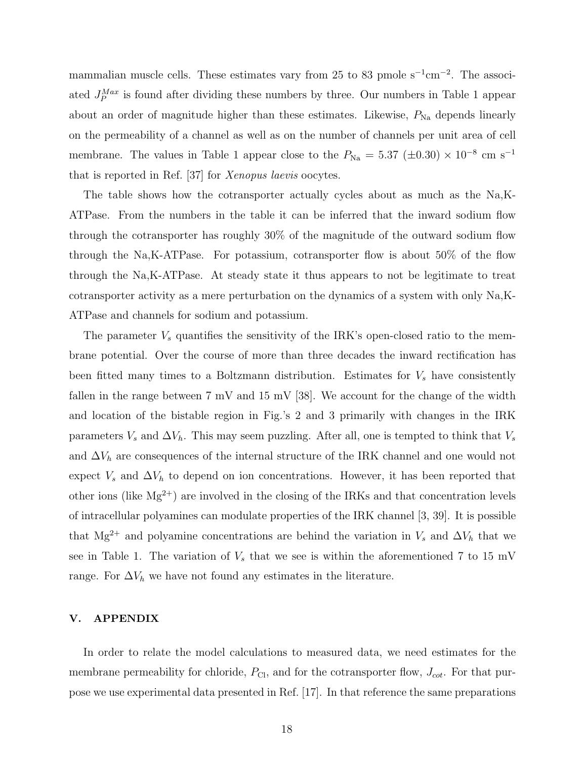mammalian muscle cells. These estimates vary from 25 to 83 pmole  $s^{-1}$ cm<sup>-2</sup>. The associated  $J_P^{Max}$  is found after dividing these numbers by three. Our numbers in Table 1 appear about an order of magnitude higher than these estimates. Likewise,  $P_{Na}$  depends linearly on the permeability of a channel as well as on the number of channels per unit area of cell membrane. The values in Table 1 appear close to the  $P_{\text{Na}} = 5.37 \ (\pm 0.30) \times 10^{-8} \text{ cm s}^{-1}$ that is reported in Ref. [37] for Xenopus laevis oocytes.

The table shows how the cotransporter actually cycles about as much as the Na,K-ATPase. From the numbers in the table it can be inferred that the inward sodium flow through the cotransporter has roughly 30% of the magnitude of the outward sodium flow through the Na,K-ATPase. For potassium, cotransporter flow is about 50% of the flow through the Na,K-ATPase. At steady state it thus appears to not be legitimate to treat cotransporter activity as a mere perturbation on the dynamics of a system with only Na,K-ATPase and channels for sodium and potassium.

The parameter  $V_s$  quantifies the sensitivity of the IRK's open-closed ratio to the membrane potential. Over the course of more than three decades the inward rectification has been fitted many times to a Boltzmann distribution. Estimates for  $V_s$  have consistently fallen in the range between  $7 \text{ mV}$  and  $15 \text{ mV}$  [38]. We account for the change of the width and location of the bistable region in Fig.'s 2 and 3 primarily with changes in the IRK parameters  $V_s$  and  $\Delta V_h$ . This may seem puzzling. After all, one is tempted to think that  $V_s$ and  $\Delta V_h$  are consequences of the internal structure of the IRK channel and one would not expect  $V_s$  and  $\Delta V_h$  to depend on ion concentrations. However, it has been reported that other ions (like  $Mg^{2+}$ ) are involved in the closing of the IRKs and that concentration levels of intracellular polyamines can modulate properties of the IRK channel [3, 39]. It is possible that Mg<sup>2+</sup> and polyamine concentrations are behind the variation in  $V_s$  and  $\Delta V_h$  that we see in Table 1. The variation of  $V_s$  that we see is within the aforementioned 7 to 15 mV range. For  $\Delta V_h$  we have not found any estimates in the literature.

### V. APPENDIX

In order to relate the model calculations to measured data, we need estimates for the membrane permeability for chloride,  $P_{\text{Cl}}$ , and for the cotransporter flow,  $J_{\text{cot}}$ . For that purpose we use experimental data presented in Ref. [17]. In that reference the same preparations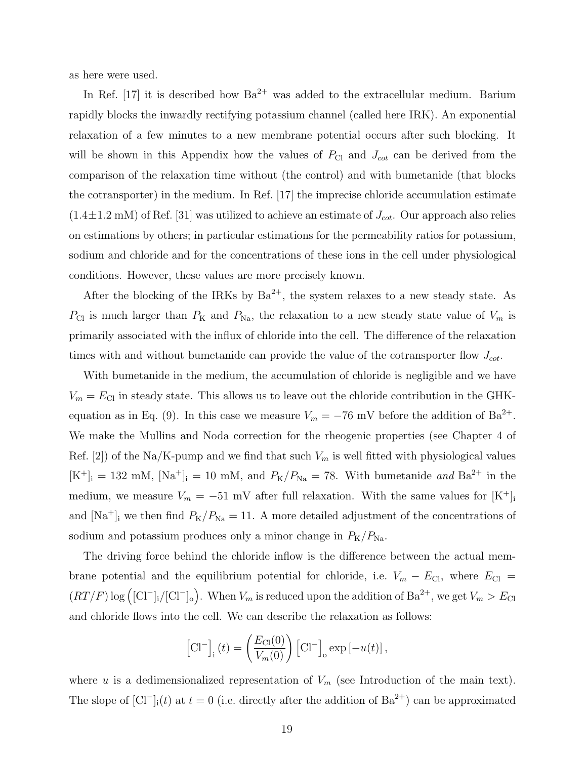as here were used.

In Ref. [17] it is described how  $Ba^{2+}$  was added to the extracellular medium. Barium rapidly blocks the inwardly rectifying potassium channel (called here IRK). An exponential relaxation of a few minutes to a new membrane potential occurs after such blocking. It will be shown in this Appendix how the values of  $P_{\text{Cl}}$  and  $J_{\text{cot}}$  can be derived from the comparison of the relaxation time without (the control) and with bumetanide (that blocks the cotransporter) in the medium. In Ref. [17] the imprecise chloride accumulation estimate  $(1.4 \pm 1.2 \text{ mM})$  of Ref. [31] was utilized to achieve an estimate of  $J_{\text{cot}}$ . Our approach also relies on estimations by others; in particular estimations for the permeability ratios for potassium, sodium and chloride and for the concentrations of these ions in the cell under physiological conditions. However, these values are more precisely known.

After the blocking of the IRKs by  $Ba^{2+}$ , the system relaxes to a new steady state. As  $P_{\text{Cl}}$  is much larger than  $P_{\text{K}}$  and  $P_{\text{Na}}$ , the relaxation to a new steady state value of  $V_m$  is primarily associated with the influx of chloride into the cell. The difference of the relaxation times with and without bumetanide can provide the value of the cotransporter flow  $J_{\text{cot}}$ .

With bumetanide in the medium, the accumulation of chloride is negligible and we have  $V_m = E_{\text{Cl}}$  in steady state. This allows us to leave out the chloride contribution in the GHKequation as in Eq. (9). In this case we measure  $V_m = -76$  mV before the addition of Ba<sup>2+</sup>. We make the Mullins and Noda correction for the rheogenic properties (see Chapter 4 of Ref. [2]) of the Na/K-pump and we find that such  $V_m$  is well fitted with physiological values  $[K^+]_i = 132$  mM,  $[Na^+]_i = 10$  mM, and  $P_K/P_{Na} = 78$ . With bumetanide and  $Ba^{2+}$  in the medium, we measure  $V_m = -51$  mV after full relaxation. With the same values for  $[K^+]$ and  $[Na^+]$ <sub>i</sub> we then find  $P_K/P_{Na} = 11$ . A more detailed adjustment of the concentrations of sodium and potassium produces only a minor change in  $P_K/P_{\text{Na}}$ .

The driving force behind the chloride inflow is the difference between the actual membrane potential and the equilibrium potential for chloride, i.e.  $V_m - E_{\text{Cl}}$ , where  $E_{\text{Cl}} =$  $(RT/F) \log (\text{[Cl}^{-1}_{\text{i}}/\text{[Cl}^{-}]_{\text{o}})$ . When  $V_m$  is reduced upon the addition of  $\text{Ba}^{2+}$ , we get  $V_m > E_{\text{Cl}}$ and chloride flows into the cell. We can describe the relaxation as follows:

$$
\left[\mathrm{Cl}^-\right]_i(t) = \left(\frac{E_{\mathrm{Cl}}(0)}{V_m(0)}\right) \left[\mathrm{Cl}^-\right]_0 \exp\left[-u(t)\right],
$$

where u is a dedimensionalized representation of  $V_m$  (see Introduction of the main text). The slope of  $[\text{Cl}^-]_i(t)$  at  $t=0$  (i.e. directly after the addition of  $\text{Ba}^{2+}$ ) can be approximated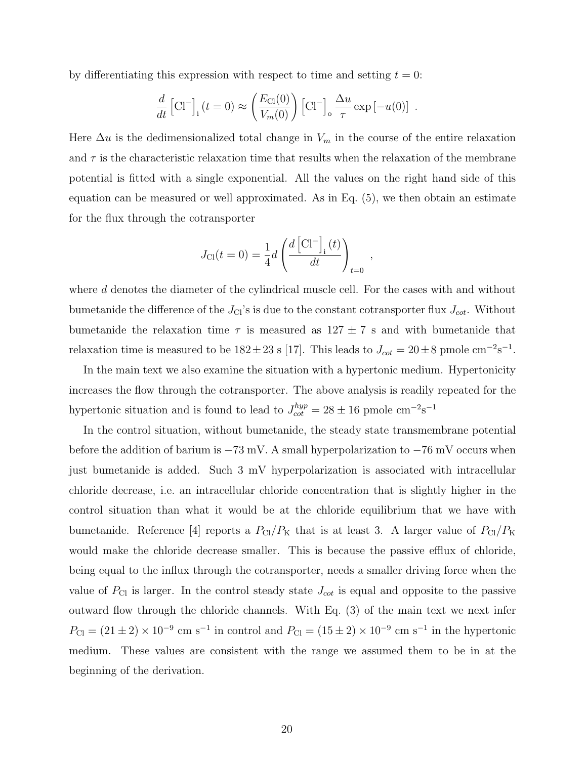by differentiating this expression with respect to time and setting  $t = 0$ :

$$
\frac{d}{dt} [Cl^-]_i (t=0) \approx \left(\frac{E_{Cl}(0)}{V_m(0)}\right) [Cl^-]_o \frac{\Delta u}{\tau} \exp[-u(0)] .
$$

Here  $\Delta u$  is the dedimensionalized total change in  $V_m$  in the course of the entire relaxation and  $\tau$  is the characteristic relaxation time that results when the relaxation of the membrane potential is fitted with a single exponential. All the values on the right hand side of this equation can be measured or well approximated. As in Eq. (5), we then obtain an estimate for the flux through the cotransporter

$$
J_{\text{Cl}}(t=0) = \frac{1}{4}d\left(\frac{d\left[\text{Cl}^{-}\right]_{i}(t)}{dt}\right)_{t=0}
$$

,

where d denotes the diameter of the cylindrical muscle cell. For the cases with and without bumetanide the difference of the  $J_{\text{Cl}}$ 's is due to the constant cotransporter flux  $J_{\text{cot}}$ . Without bumetanide the relaxation time  $\tau$  is measured as  $127 \pm 7$  s and with bumetanide that relaxation time is measured to be  $182 \pm 23$  s [17]. This leads to  $J_{\text{cot}} = 20 \pm 8$  pmole cm<sup>-2</sup>s<sup>-1</sup>.

In the main text we also examine the situation with a hypertonic medium. Hypertonicity increases the flow through the cotransporter. The above analysis is readily repeated for the hypertonic situation and is found to lead to  $J_{\text{cot}}^{hyp} = 28 \pm 16$  pmole cm<sup>-2</sup>s<sup>-1</sup>

In the control situation, without bumetanide, the steady state transmembrane potential before the addition of barium is  $-73$  mV. A small hyperpolarization to  $-76$  mV occurs when just bumetanide is added. Such 3 mV hyperpolarization is associated with intracellular chloride decrease, i.e. an intracellular chloride concentration that is slightly higher in the control situation than what it would be at the chloride equilibrium that we have with bumetanide. Reference [4] reports a  $P_{\text{Cl}}/P_{\text{K}}$  that is at least 3. A larger value of  $P_{\text{Cl}}/P_{\text{K}}$ would make the chloride decrease smaller. This is because the passive efflux of chloride, being equal to the influx through the cotransporter, needs a smaller driving force when the value of  $P_{\text{Cl}}$  is larger. In the control steady state  $J_{\text{cot}}$  is equal and opposite to the passive outward flow through the chloride channels. With Eq. (3) of the main text we next infer  $P_{\text{Cl}} = (21 \pm 2) \times 10^{-9}$  cm s<sup>-1</sup> in control and  $P_{\text{Cl}} = (15 \pm 2) \times 10^{-9}$  cm s<sup>-1</sup> in the hypertonic medium. These values are consistent with the range we assumed them to be in at the beginning of the derivation.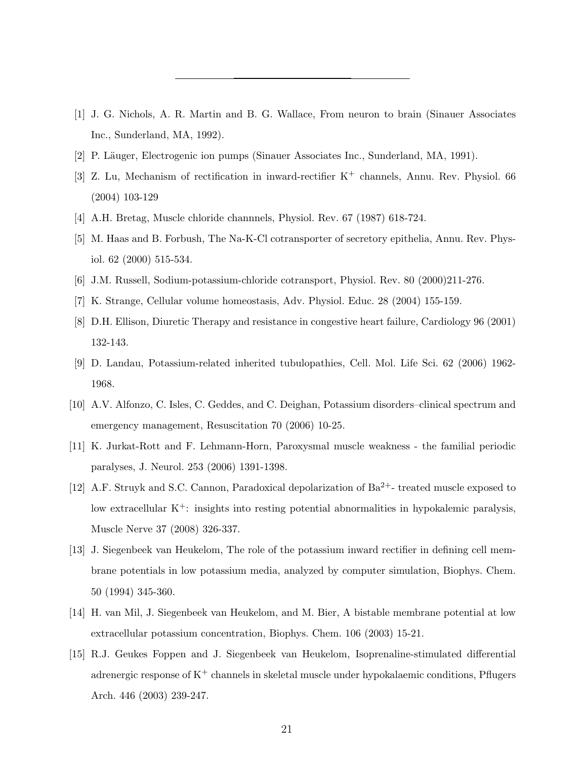- [1] J. G. Nichols, A. R. Martin and B. G. Wallace, From neuron to brain (Sinauer Associates Inc., Sunderland, MA, 1992).
- [2] P. Läuger, Electrogenic ion pumps (Sinauer Associates Inc., Sunderland, MA, 1991).
- [3] Z. Lu, Mechanism of rectification in inward-rectifier  $K^+$  channels, Annu. Rev. Physiol. 66 (2004) 103-129
- [4] A.H. Bretag, Muscle chloride channnels, Physiol. Rev. 67 (1987) 618-724.
- [5] M. Haas and B. Forbush, The Na-K-Cl cotransporter of secretory epithelia, Annu. Rev. Physiol. 62 (2000) 515-534.
- [6] J.M. Russell, Sodium-potassium-chloride cotransport, Physiol. Rev. 80 (2000)211-276.
- [7] K. Strange, Cellular volume homeostasis, Adv. Physiol. Educ. 28 (2004) 155-159.
- [8] D.H. Ellison, Diuretic Therapy and resistance in congestive heart failure, Cardiology 96 (2001) 132-143.
- [9] D. Landau, Potassium-related inherited tubulopathies, Cell. Mol. Life Sci. 62 (2006) 1962- 1968.
- [10] A.V. Alfonzo, C. Isles, C. Geddes, and C. Deighan, Potassium disorders–clinical spectrum and emergency management, Resuscitation 70 (2006) 10-25.
- [11] K. Jurkat-Rott and F. Lehmann-Horn, Paroxysmal muscle weakness the familial periodic paralyses, J. Neurol. 253 (2006) 1391-1398.
- [12] A.F. Struyk and S.C. Cannon, Paradoxical depolarization of Ba<sup>2+</sup>- treated muscle exposed to low extracellular  $K^+$ : insights into resting potential abnormalities in hypokalemic paralysis, Muscle Nerve 37 (2008) 326-337.
- [13] J. Siegenbeek van Heukelom, The role of the potassium inward rectifier in defining cell membrane potentials in low potassium media, analyzed by computer simulation, Biophys. Chem. 50 (1994) 345-360.
- [14] H. van Mil, J. Siegenbeek van Heukelom, and M. Bier, A bistable membrane potential at low extracellular potassium concentration, Biophys. Chem. 106 (2003) 15-21.
- [15] R.J. Geukes Foppen and J. Siegenbeek van Heukelom, Isoprenaline-stimulated differential adrenergic response of  $K^+$  channels in skeletal muscle under hypokalaemic conditions, Pflugers Arch. 446 (2003) 239-247.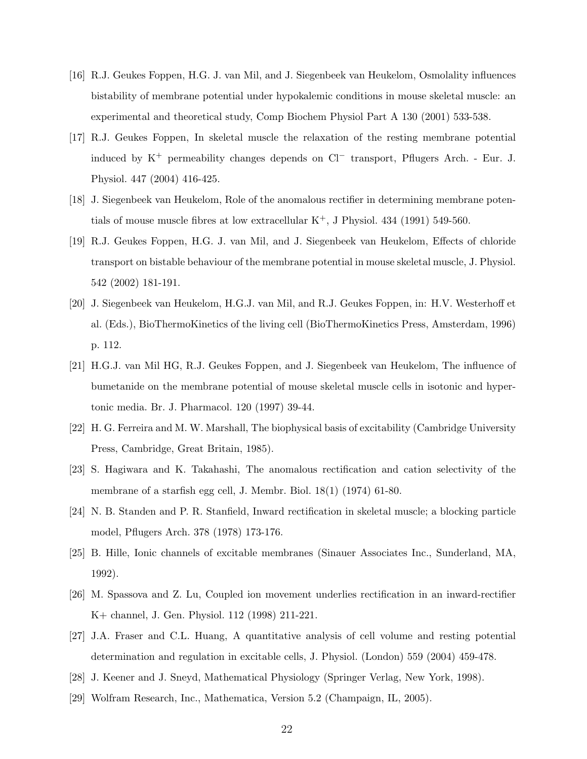- [16] R.J. Geukes Foppen, H.G. J. van Mil, and J. Siegenbeek van Heukelom, Osmolality influences bistability of membrane potential under hypokalemic conditions in mouse skeletal muscle: an experimental and theoretical study, Comp Biochem Physiol Part A 130 (2001) 533-538.
- [17] R.J. Geukes Foppen, In skeletal muscle the relaxation of the resting membrane potential induced by  $K^+$  permeability changes depends on  $Cl^-$  transport, Pflugers Arch. - Eur. J. Physiol. 447 (2004) 416-425.
- [18] J. Siegenbeek van Heukelom, Role of the anomalous rectifier in determining membrane potentials of mouse muscle fibres at low extracellular  $K^+$ , J Physiol. 434 (1991) 549-560.
- [19] R.J. Geukes Foppen, H.G. J. van Mil, and J. Siegenbeek van Heukelom, Effects of chloride transport on bistable behaviour of the membrane potential in mouse skeletal muscle, J. Physiol. 542 (2002) 181-191.
- [20] J. Siegenbeek van Heukelom, H.G.J. van Mil, and R.J. Geukes Foppen, in: H.V. Westerhoff et al. (Eds.), BioThermoKinetics of the living cell (BioThermoKinetics Press, Amsterdam, 1996) p. 112.
- [21] H.G.J. van Mil HG, R.J. Geukes Foppen, and J. Siegenbeek van Heukelom, The influence of bumetanide on the membrane potential of mouse skeletal muscle cells in isotonic and hypertonic media. Br. J. Pharmacol. 120 (1997) 39-44.
- [22] H. G. Ferreira and M. W. Marshall, The biophysical basis of excitability (Cambridge University Press, Cambridge, Great Britain, 1985).
- [23] S. Hagiwara and K. Takahashi, The anomalous rectification and cation selectivity of the membrane of a starfish egg cell, J. Membr. Biol. 18(1) (1974) 61-80.
- [24] N. B. Standen and P. R. Stanfield, Inward rectification in skeletal muscle; a blocking particle model, Pflugers Arch. 378 (1978) 173-176.
- [25] B. Hille, Ionic channels of excitable membranes (Sinauer Associates Inc., Sunderland, MA, 1992).
- [26] M. Spassova and Z. Lu, Coupled ion movement underlies rectification in an inward-rectifier K+ channel, J. Gen. Physiol. 112 (1998) 211-221.
- [27] J.A. Fraser and C.L. Huang, A quantitative analysis of cell volume and resting potential determination and regulation in excitable cells, J. Physiol. (London) 559 (2004) 459-478.
- [28] J. Keener and J. Sneyd, Mathematical Physiology (Springer Verlag, New York, 1998).
- [29] Wolfram Research, Inc., Mathematica, Version 5.2 (Champaign, IL, 2005).